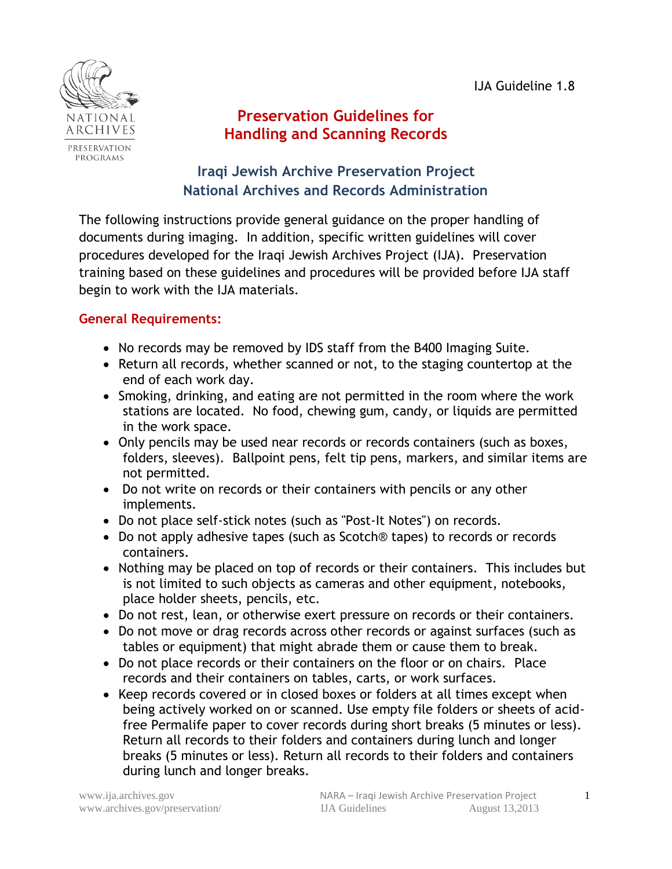IJA Guideline 1.8



# **Preservation Guidelines for Handling and Scanning Records**

## **Iraqi Jewish Archive Preservation Project National Archives and Records Administration**

The following instructions provide general guidance on the proper handling of documents during imaging. In addition, specific written guidelines will cover procedures developed for the Iraqi Jewish Archives Project (IJA). Preservation training based on these guidelines and procedures will be provided before IJA staff begin to work with the IJA materials.

## **General Requirements:**

- No records may be removed by IDS staff from the B400 Imaging Suite.
- Return all records, whether scanned or not, to the staging countertop at the end of each work day.
- Smoking, drinking, and eating are not permitted in the room where the work stations are located. No food, chewing gum, candy, or liquids are permitted in the work space.
- Only pencils may be used near records or records containers (such as boxes, folders, sleeves). Ballpoint pens, felt tip pens, markers, and similar items are not permitted.
- Do not write on records or their containers with pencils or any other implements.
- Do not place self-stick notes (such as "Post-It Notes") on records.
- Do not apply adhesive tapes (such as Scotch® tapes) to records or records containers.
- Nothing may be placed on top of records or their containers. This includes but is not limited to such objects as cameras and other equipment, notebooks, place holder sheets, pencils, etc.
- Do not rest, lean, or otherwise exert pressure on records or their containers.
- Do not move or drag records across other records or against surfaces (such as tables or equipment) that might abrade them or cause them to break.
- Do not place records or their containers on the floor or on chairs. Place records and their containers on tables, carts, or work surfaces.
- Keep records covered or in closed boxes or folders at all times except when being actively worked on or scanned. Use empty file folders or sheets of acidfree Permalife paper to cover records during short breaks (5 minutes or less). Return all records to their folders and containers during lunch and longer breaks (5 minutes or less). Return all records to their folders and containers during lunch and longer breaks.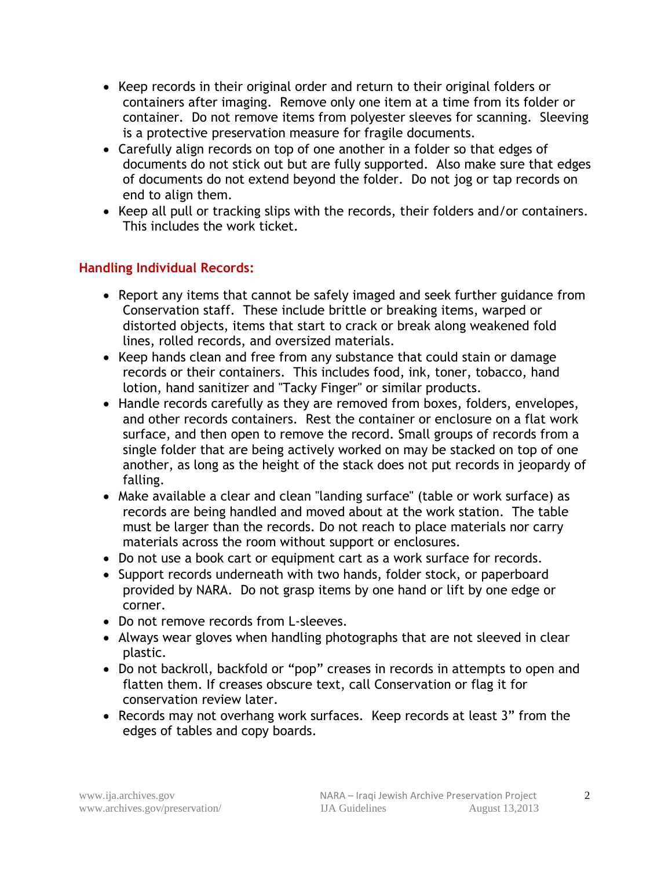- Keep records in their original order and return to their original folders or containers after imaging. Remove only one item at a time from its folder or container. Do not remove items from polyester sleeves for scanning. Sleeving is a protective preservation measure for fragile documents.
- Carefully align records on top of one another in a folder so that edges of documents do not stick out but are fully supported. Also make sure that edges of documents do not extend beyond the folder. Do not jog or tap records on end to align them.
- Keep all pull or tracking slips with the records, their folders and/or containers. This includes the work ticket*.*

### **Handling Individual Records:**

- Report any items that cannot be safely imaged and seek further guidance from Conservation staff. These include brittle or breaking items, warped or distorted objects, items that start to crack or break along weakened fold lines, rolled records, and oversized materials.
- Keep hands clean and free from any substance that could stain or damage records or their containers. This includes food, ink, toner, tobacco, hand lotion, hand sanitizer and "Tacky Finger" or similar products.
- Handle records carefully as they are removed from boxes, folders, envelopes, and other records containers. Rest the container or enclosure on a flat work surface, and then open to remove the record. Small groups of records from a single folder that are being actively worked on may be stacked on top of one another, as long as the height of the stack does not put records in jeopardy of falling.
- Make available a clear and clean "landing surface" (table or work surface) as records are being handled and moved about at the work station. The table must be larger than the records. Do not reach to place materials nor carry materials across the room without support or enclosures.
- Do not use a book cart or equipment cart as a work surface for records.
- Support records underneath with two hands, folder stock, or paperboard provided by NARA. Do not grasp items by one hand or lift by one edge or corner.
- Do not remove records from L-sleeves.
- Always wear gloves when handling photographs that are not sleeved in clear plastic.
- Do not backroll, backfold or "pop" creases in records in attempts to open and flatten them. If creases obscure text, call Conservation or flag it for conservation review later.
- Records may not overhang work surfaces. Keep records at least 3" from the edges of tables and copy boards.